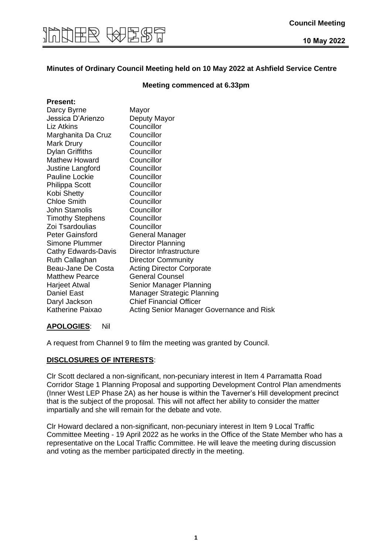

#### **Minutes of Ordinary Council Meeting held on 10 May 2022 at Ashfield Service Centre**

#### **Meeting commenced at 6.33pm**

| <b>Present:</b>         |                                           |
|-------------------------|-------------------------------------------|
| Darcy Byrne             | Mayor                                     |
| Jessica D'Arienzo       | Deputy Mayor                              |
| Liz Atkins              | Councillor                                |
| Marghanita Da Cruz      | Councillor                                |
| Mark Drury              | Councillor                                |
| <b>Dylan Griffiths</b>  | Councillor                                |
| <b>Mathew Howard</b>    | Councillor                                |
| Justine Langford        | Councillor                                |
| <b>Pauline Lockie</b>   | Councillor                                |
| <b>Philippa Scott</b>   | Councillor                                |
| Kobi Shetty             | Councillor                                |
| <b>Chloe Smith</b>      | Councillor                                |
| <b>John Stamolis</b>    | Councillor                                |
| <b>Timothy Stephens</b> | Councillor                                |
| Zoi Tsardoulias         | Councillor                                |
| <b>Peter Gainsford</b>  | <b>General Manager</b>                    |
| Simone Plummer          | Director Planning                         |
| Cathy Edwards-Davis     | Director Infrastructure                   |
| Ruth Callaghan          | <b>Director Community</b>                 |
| Beau-Jane De Costa      | <b>Acting Director Corporate</b>          |
| <b>Matthew Pearce</b>   | <b>General Counsel</b>                    |
| Harjeet Atwal           | Senior Manager Planning                   |
| <b>Daniel East</b>      | Manager Strategic Planning                |
| Daryl Jackson           | <b>Chief Financial Officer</b>            |
| Katherine Paixao        | Acting Senior Manager Governance and Risk |

#### **APOLOGIES**: Nil

A request from Channel 9 to film the meeting was granted by Council.

#### **DISCLOSURES OF INTERESTS**:

Clr Scott declared a non-significant, non-pecuniary interest in Item 4 Parramatta Road Corridor Stage 1 Planning Proposal and supporting Development Control Plan amendments (Inner West LEP Phase 2A) as her house is within the Taverner's Hill development precinct that is the subject of the proposal. This will not affect her ability to consider the matter impartially and she will remain for the debate and vote.

Clr Howard declared a non-significant, non-pecuniary interest in Item 9 Local Traffic Committee Meeting - 19 April 2022 as he works in the Office of the State Member who has a representative on the Local Traffic Committee. He will leave the meeting during discussion and voting as the member participated directly in the meeting.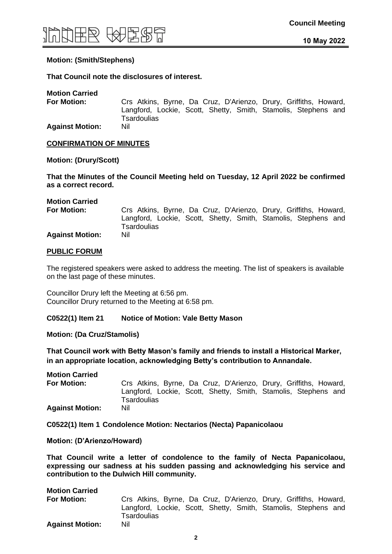#### **Motion: (Smith/Stephens)**

#### **That Council note the disclosures of interest.**

| <b>Motion Carried</b>  |                                                                  |
|------------------------|------------------------------------------------------------------|
| <b>For Motion:</b>     | Crs Atkins, Byrne, Da Cruz, D'Arienzo, Drury, Griffiths, Howard, |
|                        | Langford, Lockie, Scott, Shetty, Smith, Stamolis, Stephens and   |
|                        | <b>Tsardoulias</b>                                               |
| <b>Against Motion:</b> | Nil                                                              |

#### **CONFIRMATION OF MINUTES**

#### **Motion: (Drury/Scott)**

**That the Minutes of the Council Meeting held on Tuesday, 12 April 2022 be confirmed as a correct record.**

# **Motion Carried**

**For Motion:** Crs Atkins, Byrne, Da Cruz, D'Arienzo, Drury, Griffiths, Howard, Langford, Lockie, Scott, Shetty, Smith, Stamolis, Stephens and Tsardoulias **Against Motion:** 

#### **PUBLIC FORUM**

The registered speakers were asked to address the meeting. The list of speakers is available on the last page of these minutes.

Councillor Drury left the Meeting at 6:56 pm. Councillor Drury returned to the Meeting at 6:58 pm.

#### **C0522(1) Item 21 Notice of Motion: Vale Betty Mason**

#### **Motion: (Da Cruz/Stamolis)**

**That Council work with Betty Mason's family and friends to install a Historical Marker, in an appropriate location, acknowledging Betty's contribution to Annandale.**

**Motion Carried For Motion:** Crs Atkins, Byrne, Da Cruz, D'Arienzo, Drury, Griffiths, Howard, Langford, Lockie, Scott, Shetty, Smith, Stamolis, Stephens and **Tsardoulias Against Motion:** Nil

**C0522(1) Item 1 Condolence Motion: Nectarios (Necta) Papanicolaou**

**Motion: (D'Arienzo/Howard)**

**That Council write a letter of condolence to the family of Necta Papanicolaou, expressing our sadness at his sudden passing and acknowledging his service and contribution to the Dulwich Hill community.**

| <b>Motion Carried</b>  |                                                                  |
|------------------------|------------------------------------------------------------------|
| <b>For Motion:</b>     | Crs Atkins, Byrne, Da Cruz, D'Arienzo, Drury, Griffiths, Howard, |
|                        | Langford, Lockie, Scott, Shetty, Smith, Stamolis, Stephens and   |
|                        | Tsardoulias                                                      |
| <b>Against Motion:</b> | Nil                                                              |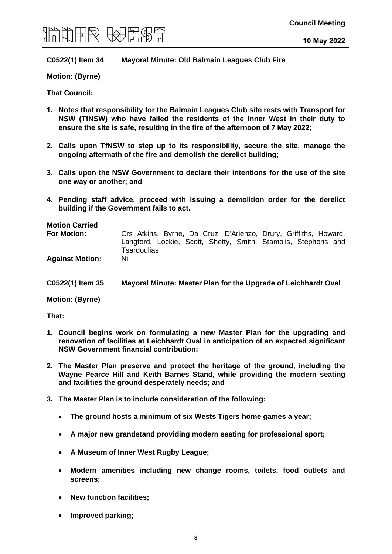

#### **C0522(1) Item 34 Mayoral Minute: Old Balmain Leagues Club Fire**

#### **Motion: (Byrne)**

**That Council:**

- **1. Notes that responsibility for the Balmain Leagues Club site rests with Transport for NSW (TfNSW) who have failed the residents of the Inner West in their duty to ensure the site is safe, resulting in the fire of the afternoon of 7 May 2022;**
- **2. Calls upon TfNSW to step up to its responsibility, secure the site, manage the ongoing aftermath of the fire and demolish the derelict building;**
- **3. Calls upon the NSW Government to declare their intentions for the use of the site one way or another; and**
- **4. Pending staff advice, proceed with issuing a demolition order for the derelict building if the Government fails to act.**

| <b>Motion Carried</b><br><b>For Motion:</b> | Crs Atkins, Byrne, Da Cruz, D'Arienzo, Drury, Griffiths, Howard,<br>Langford, Lockie, Scott, Shetty, Smith, Stamolis, Stephens and<br><b>Tsardoulias</b> |
|---------------------------------------------|----------------------------------------------------------------------------------------------------------------------------------------------------------|
| <b>Against Motion:</b>                      | Nil                                                                                                                                                      |
| C0522(1) Item 35                            | Mayoral Minute: Master Plan for the Upgrade of Leichhardt Oval                                                                                           |
| <b>Motion: (Byrne)</b>                      |                                                                                                                                                          |

**That:**

- **1. Council begins work on formulating a new Master Plan for the upgrading and renovation of facilities at Leichhardt Oval in anticipation of an expected significant NSW Government financial contribution;**
- **2. The Master Plan preserve and protect the heritage of the ground, including the Wayne Pearce Hill and Keith Barnes Stand, while providing the modern seating and facilities the ground desperately needs; and**
- **3. The Master Plan is to include consideration of the following:**
	- **The ground hosts a minimum of six Wests Tigers home games a year;**
	- **A major new grandstand providing modern seating for professional sport;**
	- **A Museum of Inner West Rugby League;**
	- **Modern amenities including new change rooms, toilets, food outlets and screens;**
	- **New function facilities;**
	- **Improved parking;**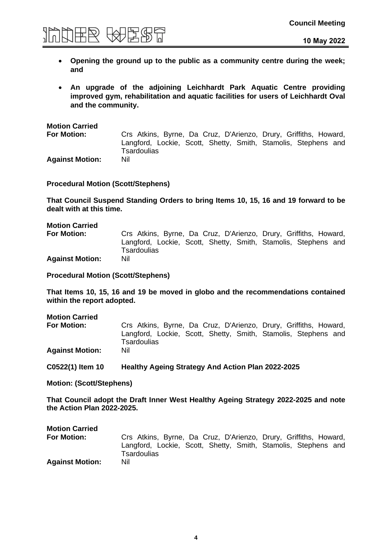

- **Opening the ground up to the public as a community centre during the week; and**
- **An upgrade of the adjoining Leichhardt Park Aquatic Centre providing improved gym, rehabilitation and aquatic facilities for users of Leichhardt Oval and the community.**

| <b>Motion Carried</b><br><b>For Motion:</b> | Crs Atkins, Byrne, Da Cruz, D'Arienzo, Drury, Griffiths, Howard,              |
|---------------------------------------------|-------------------------------------------------------------------------------|
|                                             | Langford, Lockie, Scott, Shetty, Smith, Stamolis, Stephens and<br>Tsardoulias |
| <b>Against Motion:</b>                      | Nil                                                                           |

**Procedural Motion (Scott/Stephens)**

**That Council Suspend Standing Orders to bring Items 10, 15, 16 and 19 forward to be dealt with at this time.** 

#### **Motion Carried For Motion:** Crs Atkins, Byrne, Da Cruz, D'Arienzo, Drury, Griffiths, Howard, Langford, Lockie, Scott, Shetty, Smith, Stamolis, Stephens and **Tsardoulias Against Motion:** Nil

**Procedural Motion (Scott/Stephens)**

**That Items 10, 15, 16 and 19 be moved in globo and the recommendations contained within the report adopted.**

| C0522(1) Item 10                            | <b>Healthy Ageing Strategy And Action Plan 2022-2025</b>                             |  |
|---------------------------------------------|--------------------------------------------------------------------------------------|--|
| <b>Against Motion:</b>                      | Langford, Lockie, Scott, Shetty, Smith, Stamolis, Stephens and<br>Tsardoulias<br>Nil |  |
| <b>Motion Carried</b><br><b>For Motion:</b> | Crs Atkins, Byrne, Da Cruz, D'Arienzo, Drury, Griffiths, Howard,                     |  |

**Motion: (Scott/Stephens)**

**That Council adopt the Draft Inner West Healthy Ageing Strategy 2022-2025 and note the Action Plan 2022-2025.**

| <b>Motion Carried</b><br><b>For Motion:</b> | Crs Atkins, Byrne, Da Cruz, D'Arienzo, Drury, Griffiths, Howard,<br>Langford, Lockie, Scott, Shetty, Smith, Stamolis, Stephens and<br><b>Tsardoulias</b> |
|---------------------------------------------|----------------------------------------------------------------------------------------------------------------------------------------------------------|
| <b>Against Motion:</b>                      | Nil                                                                                                                                                      |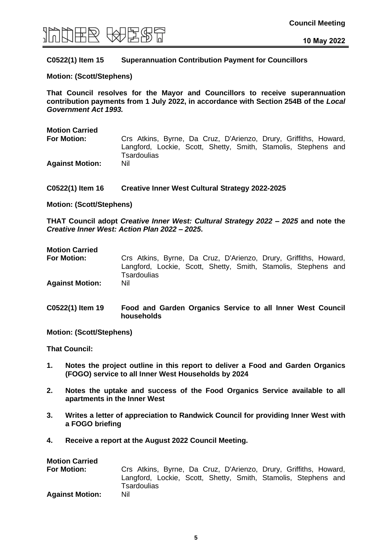

#### **C0522(1) Item 15 Superannuation Contribution Payment for Councillors**

#### **Motion: (Scott/Stephens)**

**That Council resolves for the Mayor and Councillors to receive superannuation contribution payments from 1 July 2022, in accordance with Section 254B of the** *Local Government Act 1993.* 

| <b>Motion Carried</b>  |                                                                  |  |
|------------------------|------------------------------------------------------------------|--|
| <b>For Motion:</b>     | Crs Atkins, Byrne, Da Cruz, D'Arienzo, Drury, Griffiths, Howard, |  |
|                        | Langford, Lockie, Scott, Shetty, Smith, Stamolis, Stephens and   |  |
|                        | <b>Tsardoulias</b>                                               |  |
| <b>Against Motion:</b> | Nil                                                              |  |

#### **C0522(1) Item 16 Creative Inner West Cultural Strategy 2022-2025**

**Motion: (Scott/Stephens)**

**THAT Council adopt** *Creative Inner West: Cultural Strategy 2022 – 2025* **and note the**  *Creative Inner West: Action Plan 2022 – 2025***.**

#### **Motion Carried**

**For Motion:** Crs Atkins, Byrne, Da Cruz, D'Arienzo, Drury, Griffiths, Howard, Langford, Lockie, Scott, Shetty, Smith, Stamolis, Stephens and **Tsardoulias Against Motion:** Nil

**C0522(1) Item 19 Food and Garden Organics Service to all Inner West Council households**

**Motion: (Scott/Stephens)**

- **1. Notes the project outline in this report to deliver a Food and Garden Organics (FOGO) service to all Inner West Households by 2024**
- **2. Notes the uptake and success of the Food Organics Service available to all apartments in the Inner West**
- **3. Writes a letter of appreciation to Randwick Council for providing Inner West with a FOGO briefing**
- **4. Receive a report at the August 2022 Council Meeting.**

| <b>Motion Carried</b>  |                                                                  |
|------------------------|------------------------------------------------------------------|
| <b>For Motion:</b>     | Crs Atkins, Byrne, Da Cruz, D'Arienzo, Drury, Griffiths, Howard, |
|                        | Langford, Lockie, Scott, Shetty, Smith, Stamolis, Stephens and   |
|                        | Tsardoulias                                                      |
| <b>Against Motion:</b> | Nil                                                              |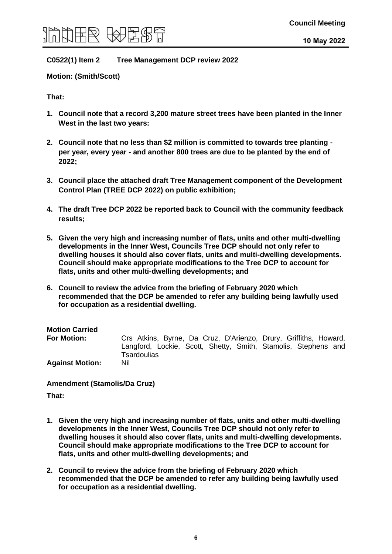

#### **C0522(1) Item 2 Tree Management DCP review 2022**

**Motion: (Smith/Scott)**

**That:**

- **1. Council note that a record 3,200 mature street trees have been planted in the Inner West in the last two years:**
- **2. Council note that no less than \$2 million is committed to towards tree planting per year, every year - and another 800 trees are due to be planted by the end of 2022;**
- **3. Council place the attached draft Tree Management component of the Development Control Plan (TREE DCP 2022) on public exhibition;**
- **4. The draft Tree DCP 2022 be reported back to Council with the community feedback results;**
- **5. Given the very high and increasing number of flats, units and other multi-dwelling developments in the Inner West, Councils Tree DCP should not only refer to dwelling houses it should also cover flats, units and multi-dwelling developments. Council should make appropriate modifications to the Tree DCP to account for flats, units and other multi-dwelling developments; and**
- **6. Council to review the advice from the briefing of February 2020 which recommended that the DCP be amended to refer any building being lawfully used for occupation as a residential dwelling.**

**Motion Carried**

**For Motion:** Crs Atkins, Byrne, Da Cruz, D'Arienzo, Drury, Griffiths, Howard, Langford, Lockie, Scott, Shetty, Smith, Stamolis, Stephens and **Tsardoulias Against Motion:** Nil

**Amendment (Stamolis/Da Cruz) That:**

- 
- **1. Given the very high and increasing number of flats, units and other multi-dwelling developments in the Inner West, Councils Tree DCP should not only refer to dwelling houses it should also cover flats, units and multi-dwelling developments. Council should make appropriate modifications to the Tree DCP to account for flats, units and other multi-dwelling developments; and**
- **2. Council to review the advice from the briefing of February 2020 which recommended that the DCP be amended to refer any building being lawfully used for occupation as a residential dwelling.**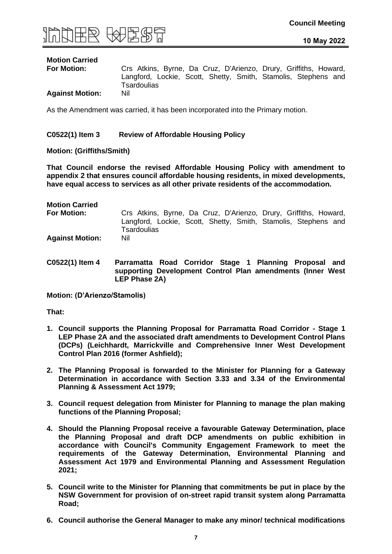

**For Motion:** Crs Atkins, Byrne, Da Cruz, D'Arienzo, Drury, Griffiths, Howard, Langford, Lockie, Scott, Shetty, Smith, Stamolis, Stephens and Tsardoulias **Against Motion:** 

As the Amendment was carried, it has been incorporated into the Primary motion.

#### **C0522(1) Item 3 Review of Affordable Housing Policy**

#### **Motion: (Griffiths/Smith)**

**That Council endorse the revised Affordable Housing Policy with amendment to appendix 2 that ensures council affordable housing residents, in mixed developments, have equal access to services as all other private residents of the accommodation.**

**Motion Carried For Motion:** Crs Atkins, Byrne, Da Cruz, D'Arienzo, Drury, Griffiths, Howard, Langford, Lockie, Scott, Shetty, Smith, Stamolis, Stephens and **Tsardoulias Against Motion:** Nil

**C0522(1) Item 4 Parramatta Road Corridor Stage 1 Planning Proposal and supporting Development Control Plan amendments (Inner West LEP Phase 2A)**

**Motion: (D'Arienzo/Stamolis)**

**That:**

- **1. Council supports the Planning Proposal for Parramatta Road Corridor - Stage 1 LEP Phase 2A and the associated draft amendments to Development Control Plans (DCPs) (Leichhardt, Marrickville and Comprehensive Inner West Development Control Plan 2016 (former Ashfield);**
- **2. The Planning Proposal is forwarded to the Minister for Planning for a Gateway Determination in accordance with Section 3.33 and 3.34 of the Environmental Planning & Assessment Act 1979;**
- **3. Council request delegation from Minister for Planning to manage the plan making functions of the Planning Proposal;**
- **4. Should the Planning Proposal receive a favourable Gateway Determination, place the Planning Proposal and draft DCP amendments on public exhibition in accordance with Council's Community Engagement Framework to meet the requirements of the Gateway Determination, Environmental Planning and Assessment Act 1979 and Environmental Planning and Assessment Regulation 2021;**
- **5. Council write to the Minister for Planning that commitments be put in place by the NSW Government for provision of on-street rapid transit system along Parramatta Road;**
- **6. Council authorise the General Manager to make any minor/ technical modifications**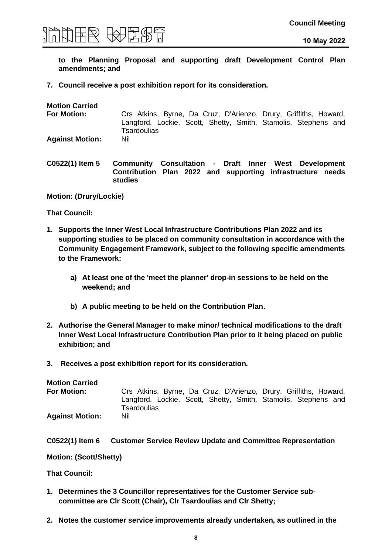

**to the Planning Proposal and supporting draft Development Control Plan amendments; and**

#### **7. Council receive a post exhibition report for its consideration.**

| <b>Motion Carried</b>  |                                                                                                                                                   |
|------------------------|---------------------------------------------------------------------------------------------------------------------------------------------------|
| <b>For Motion:</b>     | Crs Atkins, Byrne, Da Cruz, D'Arienzo, Drury, Griffiths, Howard,<br>Langford, Lockie, Scott, Shetty, Smith, Stamolis, Stephens and<br>Tsardoulias |
| <b>Against Motion:</b> | Nil                                                                                                                                               |

**C0522(1) Item 5 Community Consultation - Draft Inner West Development Contribution Plan 2022 and supporting infrastructure needs studies**

**Motion: (Drury/Lockie)**

**That Council:**

- **1. Supports the Inner West Local Infrastructure Contributions Plan 2022 and its supporting studies to be placed on community consultation in accordance with the Community Engagement Framework, subject to the following specific amendments to the Framework:**
	- **a) At least one of the 'meet the planner' drop-in sessions to be held on the weekend; and**
	- **b) A public meeting to be held on the Contribution Plan.**
- **2. Authorise the General Manager to make minor/ technical modifications to the draft Inner West Local Infrastructure Contribution Plan prior to it being placed on public exhibition; and**
- **3. Receives a post exhibition report for its consideration.**

| <b>Motion Carried</b>  |                                                                               |
|------------------------|-------------------------------------------------------------------------------|
| <b>For Motion:</b>     | Crs Atkins, Byrne, Da Cruz, D'Arienzo, Drury, Griffiths, Howard,              |
|                        | Langford, Lockie, Scott, Shetty, Smith, Stamolis, Stephens and<br>Tsardoulias |
| <b>Against Motion:</b> | Nil                                                                           |

**C0522(1) Item 6 Customer Service Review Update and Committee Representation**

**Motion: (Scott/Shetty)**

- **1. Determines the 3 Councillor representatives for the Customer Service subcommittee are Clr Scott (Chair), Clr Tsardoulias and Clr Shetty;**
- **2. Notes the customer service improvements already undertaken, as outlined in the**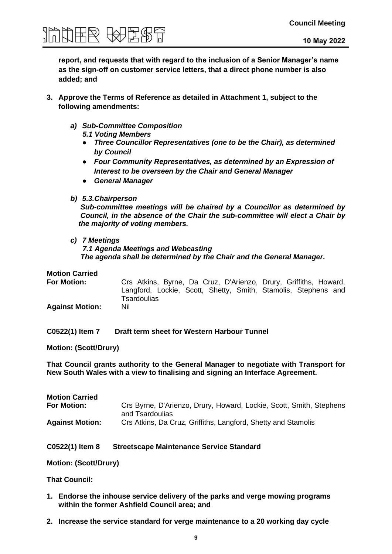

**report, and requests that with regard to the inclusion of a Senior Manager's name as the sign-off on customer service letters, that a direct phone number is also added; and**

- **3. Approve the Terms of Reference as detailed in Attachment 1, subject to the following amendments:**
	- *a) Sub-Committee Composition 5.1 Voting Members*
		- *Three Councillor Representatives (one to be the Chair), as determined by Council*
		- *Four Community Representatives, as determined by an Expression of Interest to be overseen by the Chair and General Manager*
		- *General Manager*

#### *b) 5.3.Chairperson*

 *Sub-committee meetings will be chaired by a Councillor as determined by Council, in the absence of the Chair the sub-committee will elect a Chair by the majority of voting members.*

#### *c) 7 Meetings*

 *7.1 Agenda Meetings and Webcasting The agenda shall be determined by the Chair and the General Manager.*

#### **Motion Carried**

| <b>For Motion:</b>     | Crs Atkins, Byrne, Da Cruz, D'Arienzo, Drury, Griffiths, Howard, |  |
|------------------------|------------------------------------------------------------------|--|
|                        | Langford, Lockie, Scott, Shetty, Smith, Stamolis, Stephens and   |  |
|                        | Tsardoulias                                                      |  |
| <b>Against Motion:</b> | Nil                                                              |  |

**C0522(1) Item 7 Draft term sheet for Western Harbour Tunnel**

**Motion: (Scott/Drury)**

**That Council grants authority to the General Manager to negotiate with Transport for New South Wales with a view to finalising and signing an Interface Agreement.**

| <b>Motion Carried</b>  |                                                                                        |
|------------------------|----------------------------------------------------------------------------------------|
| <b>For Motion:</b>     | Crs Byrne, D'Arienzo, Drury, Howard, Lockie, Scott, Smith, Stephens<br>and Tsardoulias |
| <b>Against Motion:</b> | Crs Atkins, Da Cruz, Griffiths, Langford, Shetty and Stamolis                          |

#### **C0522(1) Item 8 Streetscape Maintenance Service Standard**

**Motion: (Scott/Drury)**

- **1. Endorse the inhouse service delivery of the parks and verge mowing programs within the former Ashfield Council area; and**
- **2. Increase the service standard for verge maintenance to a 20 working day cycle**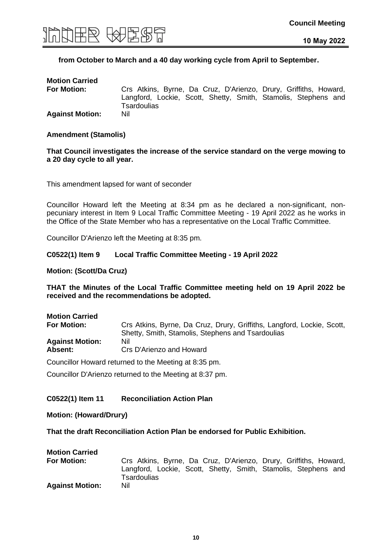



#### **from October to March and a 40 day working cycle from April to September.**

| <b>Motion Carried</b><br><b>For Motion:</b> | Crs Atkins, Byrne, Da Cruz, D'Arienzo, Drury, Griffiths, Howard,                     |
|---------------------------------------------|--------------------------------------------------------------------------------------|
|                                             | Langford, Lockie, Scott, Shetty, Smith, Stamolis, Stephens and<br><b>Tsardoulias</b> |
| <b>Against Motion:</b>                      | Nil                                                                                  |

#### **Amendment (Stamolis)**

#### **That Council investigates the increase of the service standard on the verge mowing to a 20 day cycle to all year.**

This amendment lapsed for want of seconder

Councillor Howard left the Meeting at 8:34 pm as he declared a non-significant, nonpecuniary interest in Item 9 Local Traffic Committee Meeting - 19 April 2022 as he works in the Office of the State Member who has a representative on the Local Traffic Committee.

Councillor D'Arienzo left the Meeting at 8:35 pm.

#### **C0522(1) Item 9 Local Traffic Committee Meeting - 19 April 2022**

#### **Motion: (Scott/Da Cruz)**

**THAT the Minutes of the Local Traffic Committee meeting held on 19 April 2022 be received and the recommendations be adopted.**

| <b>Motion Carried</b>  |                                                                                                                             |
|------------------------|-----------------------------------------------------------------------------------------------------------------------------|
| <b>For Motion:</b>     | Crs Atkins, Byrne, Da Cruz, Drury, Griffiths, Langford, Lockie, Scott,<br>Shetty, Smith, Stamolis, Stephens and Tsardoulias |
| <b>Against Motion:</b> | Nil                                                                                                                         |
| Absent:                | Crs D'Arienzo and Howard                                                                                                    |

Councillor Howard returned to the Meeting at 8:35 pm.

Councillor D'Arienzo returned to the Meeting at 8:37 pm.

#### **C0522(1) Item 11 Reconciliation Action Plan**

#### **Motion: (Howard/Drury)**

#### **That the draft Reconciliation Action Plan be endorsed for Public Exhibition.**

| <b>Motion Carried</b>  |                                                                                      |
|------------------------|--------------------------------------------------------------------------------------|
| <b>For Motion:</b>     | Crs Atkins, Byrne, Da Cruz, D'Arienzo, Drury, Griffiths, Howard,                     |
|                        | Langford, Lockie, Scott, Shetty, Smith, Stamolis, Stephens and<br><b>Tsardoulias</b> |
| <b>Against Motion:</b> | Nil                                                                                  |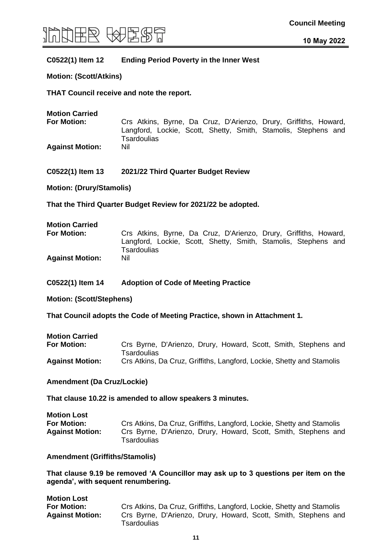

#### **C0522(1) Item 12 Ending Period Poverty in the Inner West**

#### **Motion: (Scott/Atkins)**

#### **THAT Council receive and note the report.**

| <b>Motion Carried</b>  |                                                                               |
|------------------------|-------------------------------------------------------------------------------|
| <b>For Motion:</b>     | Crs Atkins, Byrne, Da Cruz, D'Arienzo, Drury, Griffiths, Howard,              |
|                        | Langford, Lockie, Scott, Shetty, Smith, Stamolis, Stephens and<br>Tsardoulias |
| <b>Against Motion:</b> | Nil                                                                           |

#### **C0522(1) Item 13 2021/22 Third Quarter Budget Review**

**Motion: (Drury/Stamolis)**

#### **That the Third Quarter Budget Review for 2021/22 be adopted.**

| <b>Motion Carried</b>  |                                                                                      |
|------------------------|--------------------------------------------------------------------------------------|
| <b>For Motion:</b>     | Crs Atkins, Byrne, Da Cruz, D'Arienzo, Drury, Griffiths, Howard,                     |
|                        | Langford, Lockie, Scott, Shetty, Smith, Stamolis, Stephens and<br><b>Tsardoulias</b> |
| <b>Against Motion:</b> | Nil                                                                                  |

**C0522(1) Item 14 Adoption of Code of Meeting Practice**

**Motion: (Scott/Stephens)**

**That Council adopts the Code of Meeting Practice, shown in Attachment 1.**

**Motion Carried**

| <b>For Motion:</b>     | Crs Byrne, D'Arienzo, Drury, Howard, Scott, Smith, Stephens and       |  |  |  |  |
|------------------------|-----------------------------------------------------------------------|--|--|--|--|
|                        | Tsardoulias                                                           |  |  |  |  |
| <b>Against Motion:</b> | Crs Atkins, Da Cruz, Griffiths, Langford, Lockie, Shetty and Stamolis |  |  |  |  |

**Amendment (Da Cruz/Lockie)**

**That clause 10.22 is amended to allow speakers 3 minutes.**

| <b>Motion Lost</b>     |                                                                                       |
|------------------------|---------------------------------------------------------------------------------------|
| <b>For Motion:</b>     | Crs Atkins, Da Cruz, Griffiths, Langford, Lockie, Shetty and Stamolis                 |
| <b>Against Motion:</b> | Crs Byrne, D'Arienzo, Drury, Howard, Scott, Smith, Stephens and<br><b>Tsardoulias</b> |

#### **Amendment (Griffiths/Stamolis)**

**That clause 9.19 be removed 'A Councillor may ask up to 3 questions per item on the agenda', with sequent renumbering.**

| <b>Motion Lost</b>     |                                                                                |
|------------------------|--------------------------------------------------------------------------------|
| <b>For Motion:</b>     | Crs Atkins, Da Cruz, Griffiths, Langford, Lockie, Shetty and Stamolis          |
| <b>Against Motion:</b> | Crs Byrne, D'Arienzo, Drury, Howard, Scott, Smith, Stephens and<br>Tsardoulias |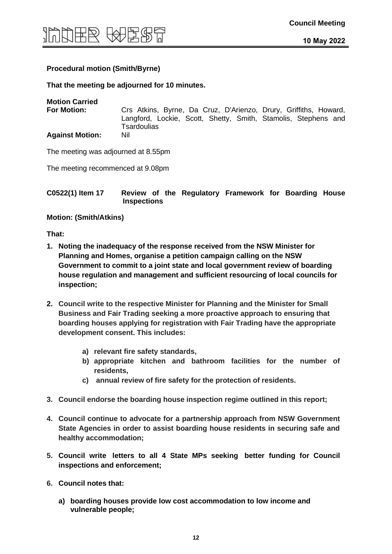

#### **Procedural motion (Smith/Byrne)**

#### **That the meeting be adjourned for 10 minutes.**

**Motion Carried**

**For Motion:** Crs Atkins, Byrne, Da Cruz, D'Arienzo, Drury, Griffiths, Howard, Langford, Lockie, Scott, Shetty, Smith, Stamolis, Stephens and **Tsardoulias Against Motion:** Nil

The meeting was adjourned at 8.55pm

The meeting recommenced at 9.08pm

#### **C0522(1) Item 17 Review of the Regulatory Framework for Boarding House Inspections**

**Motion: (Smith/Atkins)**

**That:**

- **1. Noting the inadequacy of the response received from the NSW Minister for Planning and Homes, organise a petition campaign calling on the NSW Government to commit to a joint state and local government review of boarding house regulation and management and sufficient resourcing of local councils for inspection;**
- **2. Council write to the respective Minister for Planning and the Minister for Small Business and Fair Trading seeking a more proactive approach to ensuring that boarding houses applying for registration with Fair Trading have the appropriate development consent. This includes:**
	- **a) relevant fire safety standards,**
	- **b) appropriate kitchen and bathroom facilities for the number of residents,**
	- **c) annual review of fire safety for the protection of residents.**
- **3. Council endorse the boarding house inspection regime outlined in this report;**
- **4. Council continue to advocate for a partnership approach from NSW Government State Agencies in order to assist boarding house residents in securing safe and healthy accommodation;**
- **5. Council write letters to all 4 State MPs seeking better funding for Council inspections and enforcement;**
- **6. Council notes that:**
	- **a) boarding houses provide low cost accommodation to low income and vulnerable people;**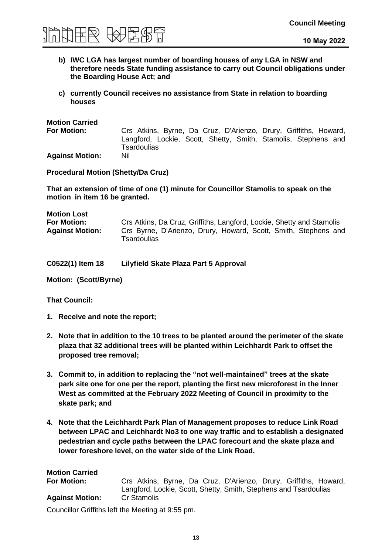

- **b) IWC LGA has largest number of boarding houses of any LGA in NSW and therefore needs State funding assistance to carry out Council obligations under the Boarding House Act; and**
- **c) currently Council receives no assistance from State in relation to boarding houses**

**For Motion:** Crs Atkins, Byrne, Da Cruz, D'Arienzo, Drury, Griffiths, Howard, Langford, Lockie, Scott, Shetty, Smith, Stamolis, Stephens and **Tsardoulias Against Motion:** Nil

**Procedural Motion (Shetty/Da Cruz)**

**That an extension of time of one (1) minute for Councillor Stamolis to speak on the motion in item 16 be granted.** 

| <b>Motion Lost</b>     |                                                                                |
|------------------------|--------------------------------------------------------------------------------|
| <b>For Motion:</b>     | Crs Atkins, Da Cruz, Griffiths, Langford, Lockie, Shetty and Stamolis          |
| <b>Against Motion:</b> | Crs Byrne, D'Arienzo, Drury, Howard, Scott, Smith, Stephens and<br>Tsardoulias |

| C0522(1) Item 18 | Lilyfield Skate Plaza Part 5 Approval |
|------------------|---------------------------------------|
|------------------|---------------------------------------|

**Motion: (Scott/Byrne)**

- **1. Receive and note the report;**
- **2. Note that in addition to the 10 trees to be planted around the perimeter of the skate plaza that 32 additional trees will be planted within Leichhardt Park to offset the proposed tree removal;**
- **3. Commit to, in addition to replacing the "not well-maintained" trees at the skate park site one for one per the report, planting the first new microforest in the Inner West as committed at the February 2022 Meeting of Council in proximity to the skate park; and**
- **4. Note that the Leichhardt Park Plan of Management proposes to reduce Link Road between LPAC and Leichhardt No3 to one way traffic and to establish a designated pedestrian and cycle paths between the LPAC forecourt and the skate plaza and lower foreshore level, on the water side of the Link Road.**

| <b>Motion Carried</b><br><b>For Motion:</b> | Crs Atkins, Byrne, Da Cruz, D'Arienzo, Drury, Griffiths, Howard,<br>Langford, Lockie, Scott, Shetty, Smith, Stephens and Tsardoulias |
|---------------------------------------------|--------------------------------------------------------------------------------------------------------------------------------------|
| <b>Against Motion:</b>                      | <b>Cr Stamolis</b>                                                                                                                   |
|                                             | Councillor Griffiths left the Meeting at 9:55 pm.                                                                                    |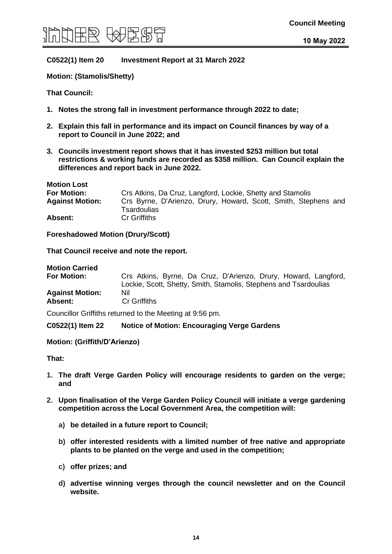

#### **C0522(1) Item 20 Investment Report at 31 March 2022**

**Motion: (Stamolis/Shetty)**

**That Council:**

- **1. Notes the strong fall in investment performance through 2022 to date;**
- **2. Explain this fall in performance and its impact on Council finances by way of a report to Council in June 2022; and**
- **3. Councils investment report shows that it has invested \$253 million but total restrictions & working funds are recorded as \$358 million. Can Council explain the differences and report back in June 2022.**

| <b>Motion Lost</b>     |                                                                                |
|------------------------|--------------------------------------------------------------------------------|
| <b>For Motion:</b>     | Crs Atkins, Da Cruz, Langford, Lockie, Shetty and Stamolis                     |
| <b>Against Motion:</b> | Crs Byrne, D'Arienzo, Drury, Howard, Scott, Smith, Stephens and<br>Tsardoulias |
| Absent:                | <b>Cr Griffiths</b>                                                            |

**Foreshadowed Motion (Drury/Scott)**

**That Council receive and note the report.**

| <b>Motion Carried</b>             |                                                                                                                                     |
|-----------------------------------|-------------------------------------------------------------------------------------------------------------------------------------|
| <b>For Motion:</b>                | Crs Atkins, Byrne, Da Cruz, D'Arienzo, Drury, Howard, Langford,<br>Lockie, Scott, Shetty, Smith, Stamolis, Stephens and Tsardoulias |
| <b>Against Motion:</b><br>Absent: | Nil<br><b>Cr Griffiths</b>                                                                                                          |

Councillor Griffiths returned to the Meeting at 9:56 pm.

#### **C0522(1) Item 22 Notice of Motion: Encouraging Verge Gardens**

#### **Motion: (Griffith/D'Arienzo)**

**That:**

- **1. The draft Verge Garden Policy will encourage residents to garden on the verge; and**
- **2. Upon finalisation of the Verge Garden Policy Council will initiate a verge gardening competition across the Local Government Area, the competition will:**
	- **a) be detailed in a future report to Council;**
	- **b) offer interested residents with a limited number of free native and appropriate plants to be planted on the verge and used in the competition;**
	- **c) offer prizes; and**
	- **d) advertise winning verges through the council newsletter and on the Council website.**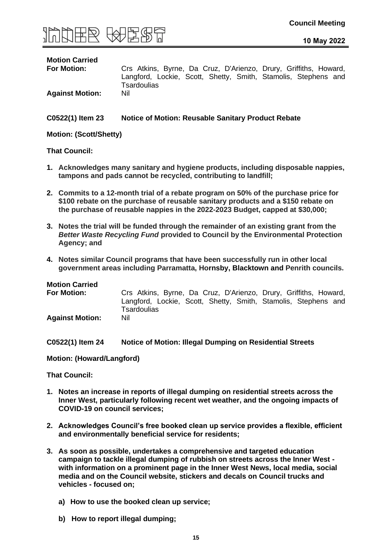

**For Motion:** Crs Atkins, Byrne, Da Cruz, D'Arienzo, Drury, Griffiths, Howard, Langford, Lockie, Scott, Shetty, Smith, Stamolis, Stephens and Tsardoulias **Against Motion:** 

#### **C0522(1) Item 23 Notice of Motion: Reusable Sanitary Product Rebate**

**Motion: (Scott/Shetty)**

**That Council:** 

- **1. Acknowledges many sanitary and hygiene products, including disposable nappies, tampons and pads cannot be recycled, contributing to landfill;**
- **2. Commits to a 12-month trial of a rebate program on 50% of the purchase price for \$100 rebate on the purchase of reusable sanitary products and a \$150 rebate on the purchase of reusable nappies in the 2022-2023 Budget, capped at \$30,000;**
- **3. Notes the trial will be funded through the remainder of an existing grant from the**  *Better Waste Recycling Fund* **provided to Council by the Environmental Protection Agency; and**
- **4. Notes similar Council programs that have been successfully run in other local government areas including Parramatta, Hornsby, Blacktown and Penrith councils.**

| <b>Motion Carried</b>  |                                                                  |
|------------------------|------------------------------------------------------------------|
| <b>For Motion:</b>     | Crs Atkins, Byrne, Da Cruz, D'Arienzo, Drury, Griffiths, Howard, |
|                        | Langford, Lockie, Scott, Shetty, Smith, Stamolis, Stephens and   |
|                        | <b>Tsardoulias</b>                                               |
| <b>Against Motion:</b> | Nil                                                              |

**C0522(1) Item 24 Notice of Motion: Illegal Dumping on Residential Streets**

**Motion: (Howard/Langford)**

- **1. Notes an increase in reports of illegal dumping on residential streets across the Inner West, particularly following recent wet weather, and the ongoing impacts of COVID-19 on council services;**
- **2. Acknowledges Council's free booked clean up service provides a flexible, efficient and environmentally beneficial service for residents;**
- **3. As soon as possible, undertakes a comprehensive and targeted education campaign to tackle illegal dumping of rubbish on streets across the Inner West with information on a prominent page in the Inner West News, local media, social media and on the Council website, stickers and decals on Council trucks and vehicles - focused on;**
	- **a) How to use the booked clean up service;**
	- **b) How to report illegal dumping;**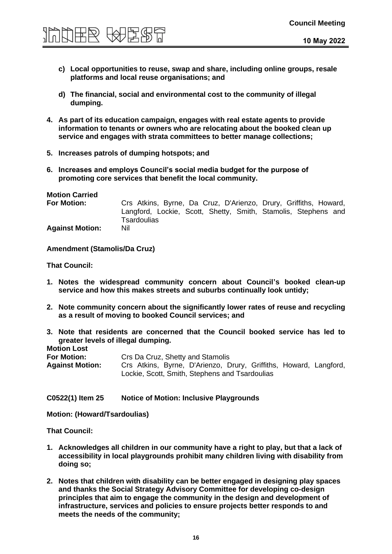

- **c) Local opportunities to reuse, swap and share, including online groups, resale platforms and local reuse organisations; and**
- **d) The financial, social and environmental cost to the community of illegal dumping.**
- **4. As part of its education campaign, engages with real estate agents to provide information to tenants or owners who are relocating about the booked clean up service and engages with strata committees to better manage collections;**
- **5. Increases patrols of dumping hotspots; and**
- **6. Increases and employs Council's social media budget for the purpose of promoting core services that benefit the local community.**

**For Motion:** Crs Atkins, Byrne, Da Cruz, D'Arienzo, Drury, Griffiths, Howard, Langford, Lockie, Scott, Shetty, Smith, Stamolis, Stephens and **Tsardoulias Against Motion:** Nil

**Amendment (Stamolis/Da Cruz)**

**That Council:**

- **1. Notes the widespread community concern about Council's booked clean-up service and how this makes streets and suburbs continually look untidy;**
- **2. Note community concern about the significantly lower rates of reuse and recycling as a result of moving to booked Council services; and**
- **3. Note that residents are concerned that the Council booked service has led to greater levels of illegal dumping.**

| <b>Motion Lost</b>     |                                                                   |
|------------------------|-------------------------------------------------------------------|
| <b>For Motion:</b>     | Crs Da Cruz, Shetty and Stamolis                                  |
| <b>Against Motion:</b> | Crs Atkins, Byrne, D'Arienzo, Drury, Griffiths, Howard, Langford, |
|                        | Lockie, Scott, Smith, Stephens and Tsardoulias                    |

**C0522(1) Item 25 Notice of Motion: Inclusive Playgrounds**

**Motion: (Howard/Tsardoulias)**

- **1. Acknowledges all children in our community have a right to play, but that a lack of accessibility in local playgrounds prohibit many children living with disability from doing so;**
- **2. Notes that children with disability can be better engaged in designing play spaces and thanks the Social Strategy Advisory Committee for developing co-design principles that aim to engage the community in the design and development of infrastructure, services and policies to ensure projects better responds to and meets the needs of the community;**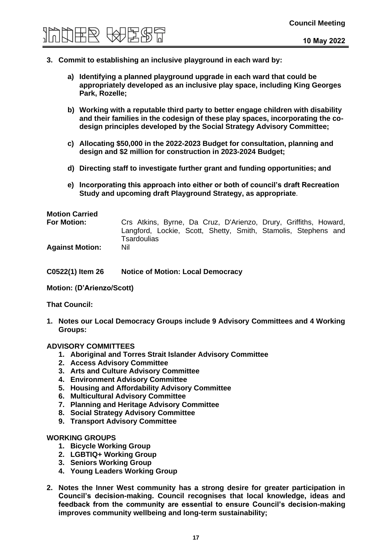

- **3. Commit to establishing an inclusive playground in each ward by:**
	- **a) Identifying a planned playground upgrade in each ward that could be appropriately developed as an inclusive play space, including King Georges Park, Rozelle;**
	- **b) Working with a reputable third party to better engage children with disability and their families in the codesign of these play spaces, incorporating the codesign principles developed by the Social Strategy Advisory Committee;**
	- **c) Allocating \$50,000 in the 2022-2023 Budget for consultation, planning and design and \$2 million for construction in 2023-2024 Budget;**
	- **d) Directing staff to investigate further grant and funding opportunities; and**
	- **e) Incorporating this approach into either or both of council's draft Recreation Study and upcoming draft Playground Strategy, as appropriate**.

| <b>Motion Carried</b>  |                                                                                                                                                          |
|------------------------|----------------------------------------------------------------------------------------------------------------------------------------------------------|
| <b>For Motion:</b>     | Crs Atkins, Byrne, Da Cruz, D'Arienzo, Drury, Griffiths, Howard,<br>Langford, Lockie, Scott, Shetty, Smith, Stamolis, Stephens and<br><b>Tsardoulias</b> |
| <b>Against Motion:</b> | Nil                                                                                                                                                      |

- **C0522(1) Item 26 Notice of Motion: Local Democracy**
- **Motion: (D'Arienzo/Scott)**

**That Council:**

**1. Notes our Local Democracy Groups include 9 Advisory Committees and 4 Working Groups:**

#### **ADVISORY COMMITTEES**

- **1. Aboriginal and Torres Strait Islander Advisory Committee**
- **2. Access Advisory Committee**
- **3. Arts and Culture Advisory Committee**
- **4. Environment Advisory Committee**
- **5. Housing and Affordability Advisory Committee**
- **6. Multicultural Advisory Committee**
- **7. Planning and Heritage Advisory Committee**
- **8. Social Strategy Advisory Committee**
- **9. Transport Advisory Committee**

#### **WORKING GROUPS**

- **1. Bicycle Working Group**
- **2. LGBTIQ+ Working Group**
- **3. Seniors Working Group**
- **4. Young Leaders Working Group**
- **2. Notes the Inner West community has a strong desire for greater participation in Council's decision-making. Council recognises that local knowledge, ideas and feedback from the community are essential to ensure Council's decision-making improves community wellbeing and long-term sustainability;**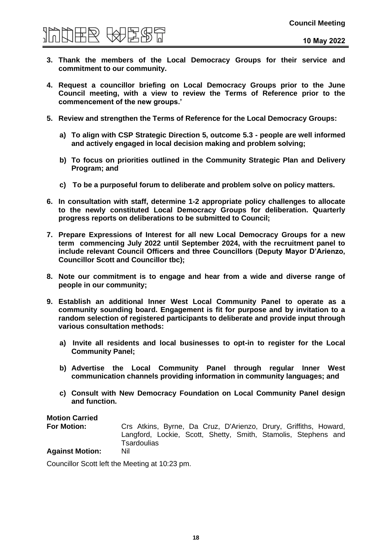# **Council Meeting**

- **3. Thank the members of the Local Democracy Groups for their service and commitment to our community.**
- **4. Request a councillor briefing on Local Democracy Groups prior to the June Council meeting, with a view to review the Terms of Reference prior to the commencement of the new groups.'**
- **5. Review and strengthen the Terms of Reference for the Local Democracy Groups:**
	- **a) To align with CSP Strategic Direction 5, outcome 5.3 - people are well informed and actively engaged in local decision making and problem solving;**
	- **b) To focus on priorities outlined in the Community Strategic Plan and Delivery Program; and**
	- **c) To be a purposeful forum to deliberate and problem solve on policy matters.**
- **6. In consultation with staff, determine 1-2 appropriate policy challenges to allocate to the newly constituted Local Democracy Groups for deliberation. Quarterly progress reports on deliberations to be submitted to Council;**
- **7. Prepare Expressions of Interest for all new Local Democracy Groups for a new term commencing July 2022 until September 2024, with the recruitment panel to include relevant Council Officers and three Councillors (Deputy Mayor D'Arienzo, Councillor Scott and Councillor tbc);**
- **8. Note our commitment is to engage and hear from a wide and diverse range of people in our community;**
- **9. Establish an additional Inner West Local Community Panel to operate as a community sounding board. Engagement is fit for purpose and by invitation to a random selection of registered participants to deliberate and provide input through various consultation methods:**
	- **a) Invite all residents and local businesses to opt-in to register for the Local Community Panel;**
	- **b) Advertise the Local Community Panel through regular Inner West communication channels providing information in community languages; and**
	- **c) Consult with New Democracy Foundation on Local Community Panel design and function.**

# **Motion Carried**

**For Motion:** Crs Atkins, Byrne, Da Cruz, D'Arienzo, Drury, Griffiths, Howard, Langford, Lockie, Scott, Shetty, Smith, Stamolis, Stephens and **Tsardoulias** 

**Against Motion:** Nil

Councillor Scott left the Meeting at 10:23 pm.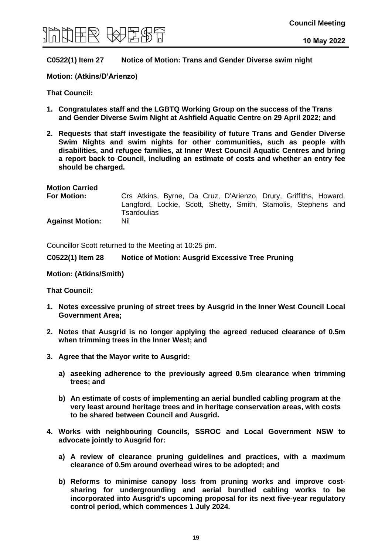

#### **C0522(1) Item 27 Notice of Motion: Trans and Gender Diverse swim night**

#### **Motion: (Atkins/D'Arienzo)**

**That Council:**

- **1. Congratulates staff and the LGBTQ Working Group on the success of the Trans and Gender Diverse Swim Night at Ashfield Aquatic Centre on 29 April 2022; and**
- **2. Requests that staff investigate the feasibility of future Trans and Gender Diverse Swim Nights and swim nights for other communities, such as people with disabilities, and refugee families, at Inner West Council Aquatic Centres and bring a report back to Council, including an estimate of costs and whether an entry fee should be charged.**

#### **Motion Carried**

| <b>For Motion:</b>     | Crs Atkins, Byrne, Da Cruz, D'Arienzo, Drury, Griffiths, Howard, |  |
|------------------------|------------------------------------------------------------------|--|
|                        | Langford, Lockie, Scott, Shetty, Smith, Stamolis, Stephens and   |  |
|                        | Tsardoulias                                                      |  |
| <b>Against Motion:</b> | Nil                                                              |  |

Councillor Scott returned to the Meeting at 10:25 pm.

#### **C0522(1) Item 28 Notice of Motion: Ausgrid Excessive Tree Pruning**

#### **Motion: (Atkins/Smith)**

- **1. Notes excessive pruning of street trees by Ausgrid in the Inner West Council Local Government Area;**
- **2. Notes that Ausgrid is no longer applying the agreed reduced clearance of 0.5m when trimming trees in the Inner West; and**
- **3. Agree that the Mayor write to Ausgrid:**
	- **a) aseeking adherence to the previously agreed 0.5m clearance when trimming trees; and**
	- **b) An estimate of costs of implementing an aerial bundled cabling program at the very least around heritage trees and in heritage conservation areas, with costs to be shared between Council and Ausgrid.**
- **4. Works with neighbouring Councils, SSROC and Local Government NSW to advocate jointly to Ausgrid for:**
	- **a) A review of clearance pruning guidelines and practices, with a maximum clearance of 0.5m around overhead wires to be adopted; and**
	- **b) Reforms to minimise canopy loss from pruning works and improve costsharing for undergrounding and aerial bundled cabling works to be incorporated into Ausgrid's upcoming proposal for its next five-year regulatory control period, which commences 1 July 2024.**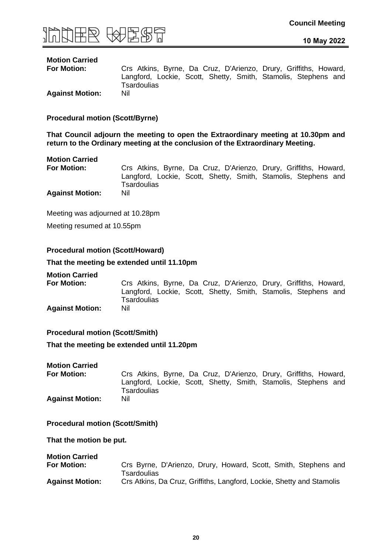

**For Motion:** Crs Atkins, Byrne, Da Cruz, D'Arienzo, Drury, Griffiths, Howard, Langford, Lockie, Scott, Shetty, Smith, Stamolis, Stephens and **Tsardoulias** 

**Against Motion:** Nil

**Procedural motion (Scott/Byrne)**

**That Council adjourn the meeting to open the Extraordinary meeting at 10.30pm and return to the Ordinary meeting at the conclusion of the Extraordinary Meeting.**

#### **Motion Carried**

**For Motion:** Crs Atkins, Byrne, Da Cruz, D'Arienzo, Drury, Griffiths, Howard, Langford, Lockie, Scott, Shetty, Smith, Stamolis, Stephens and **Tsardoulias Against Motion:** Nil

Meeting was adjourned at 10.28pm

Meeting resumed at 10.55pm

#### **Procedural motion (Scott/Howard)**

#### **That the meeting be extended until 11.10pm**

#### **Motion Carried**

**For Motion:** Crs Atkins, Byrne, Da Cruz, D'Arienzo, Drury, Griffiths, Howard, Langford, Lockie, Scott, Shetty, Smith, Stamolis, Stephens and **Tsardoulias Against Motion:** Nil

#### **Procedural motion (Scott/Smith)**

**That the meeting be extended until 11.20pm**

#### **Motion Carried**

**For Motion:** Crs Atkins, Byrne, Da Cruz, D'Arienzo, Drury, Griffiths, Howard, Langford, Lockie, Scott, Shetty, Smith, Stamolis, Stephens and **Tsardoulias Against Motion:** Nil

**Procedural motion (Scott/Smith)**

**That the motion be put.**

| <b>Motion Carried</b>  |                                                                       |
|------------------------|-----------------------------------------------------------------------|
| <b>For Motion:</b>     | Crs Byrne, D'Arienzo, Drury, Howard, Scott, Smith, Stephens and       |
|                        | Tsardoulias                                                           |
| <b>Against Motion:</b> | Crs Atkins, Da Cruz, Griffiths, Langford, Lockie, Shetty and Stamolis |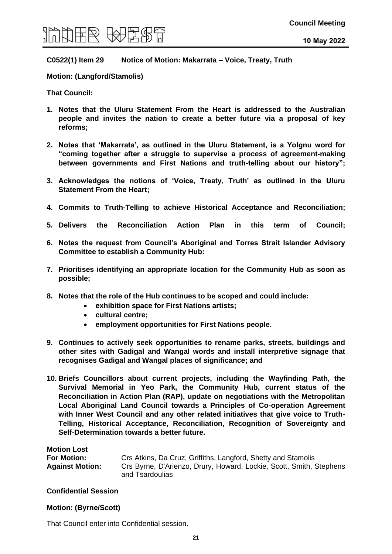

**C0522(1) Item 29 Notice of Motion: Makarrata – Voice, Treaty, Truth**

**Motion: (Langford/Stamolis)**

**That Council:**

- **1. Notes that the Uluru Statement From the Heart is addressed to the Australian people and invites the nation to create a better future via a proposal of key reforms;**
- **2. Notes that 'Makarrata', as outlined in the Uluru Statement, is a Yolgnu word for "coming together after a struggle to supervise a process of agreement-making between governments and First Nations and truth-telling about our history";**
- **3. Acknowledges the notions of 'Voice, Treaty, Truth' as outlined in the Uluru Statement From the Heart;**
- **4. Commits to Truth-Telling to achieve Historical Acceptance and Reconciliation;**
- **5. Delivers the Reconciliation Action Plan in this term of Council;**
- **6. Notes the request from Council's Aboriginal and Torres Strait Islander Advisory Committee to establish a Community Hub:**
- **7. Prioritises identifying an appropriate location for the Community Hub as soon as possible;**
- **8. Notes that the role of the Hub continues to be scoped and could include:**
	- **exhibition space for First Nations artists;**
	- **cultural centre;**
	- **employment opportunities for First Nations people.**
- **9. Continues to actively seek opportunities to rename parks, streets, buildings and other sites with Gadigal and Wangal words and install interpretive signage that recognises Gadigal and Wangal places of significance; and**
- **10. Briefs Councillors about current projects, including the Wayfinding Path, the Survival Memorial in Yeo Park, the Community Hub, current status of the Reconciliation in Action Plan (RAP), update on negotiations with the Metropolitan Local Aboriginal Land Council towards a Principles of Co-operation Agreement with Inner West Council and any other related initiatives that give voice to Truth-Telling, Historical Acceptance, Reconciliation, Recognition of Sovereignty and Self-Determination towards a better future.**

| Crs Atkins, Da Cruz, Griffiths, Langford, Shetty and Stamolis                          |
|----------------------------------------------------------------------------------------|
| Crs Byrne, D'Arienzo, Drury, Howard, Lockie, Scott, Smith, Stephens<br>and Tsardoulias |
|                                                                                        |

#### **Confidential Session**

#### **Motion: (Byrne/Scott)**

That Council enter into Confidential session.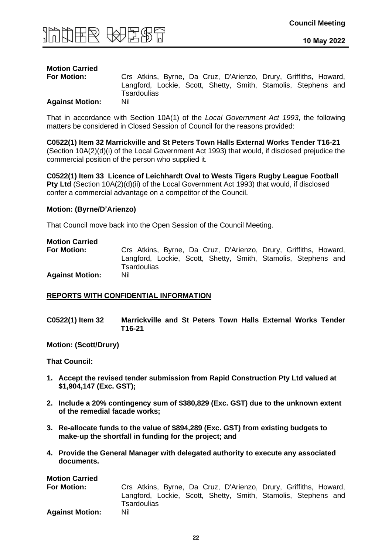

# **Motion Carried**

**For Motion:** Crs Atkins, Byrne, Da Cruz, D'Arienzo, Drury, Griffiths, Howard, Langford, Lockie, Scott, Shetty, Smith, Stamolis, Stephens and Tsardoulias

#### **Against Motion:**

That in accordance with Section 10A(1) of the *Local Government Act 1993*, the following matters be considered in Closed Session of Council for the reasons provided:

**C0522(1) Item 32 Marrickville and St Peters Town Halls External Works Tender T16-21** (Section 10A(2)(d)(i) of the Local Government Act 1993) that would, if disclosed prejudice the commercial position of the person who supplied it.

**C0522(1) Item 33 Licence of Leichhardt Oval to Wests Tigers Rugby League Football Pty Ltd** (Section 10A(2)(d)(ii) of the Local Government Act 1993) that would, if disclosed confer a commercial advantage on a competitor of the Council.

#### **Motion: (Byrne/D'Arienzo)**

That Council move back into the Open Session of the Council Meeting.

| <b>Motion Carried</b><br><b>For Motion:</b> | Crs Atkins, Byrne, Da Cruz, D'Arienzo, Drury, Griffiths, Howard,<br>Langford, Lockie, Scott, Shetty, Smith, Stamolis, Stephens and<br><b>Tsardoulias</b> |
|---------------------------------------------|----------------------------------------------------------------------------------------------------------------------------------------------------------|
| <b>Against Motion:</b>                      | Nil                                                                                                                                                      |

#### **REPORTS WITH CONFIDENTIAL INFORMATION**

| C0522(1) Item 32 | Marrickville and St Peters Town Halls External Works Tender |  |  |  |  |
|------------------|-------------------------------------------------------------|--|--|--|--|
|                  | T16-21                                                      |  |  |  |  |

**Motion: (Scott/Drury)**

- **1. Accept the revised tender submission from Rapid Construction Pty Ltd valued at \$1,904,147 (Exc. GST);**
- **2. Include a 20% contingency sum of \$380,829 (Exc. GST) due to the unknown extent of the remedial facade works;**
- **3. Re-allocate funds to the value of \$894,289 (Exc. GST) from existing budgets to make-up the shortfall in funding for the project; and**
- **4. Provide the General Manager with delegated authority to execute any associated documents.**

| <b>Motion Carried</b>  |                                                                  |
|------------------------|------------------------------------------------------------------|
| <b>For Motion:</b>     | Crs Atkins, Byrne, Da Cruz, D'Arienzo, Drury, Griffiths, Howard, |
|                        | Langford, Lockie, Scott, Shetty, Smith, Stamolis, Stephens and   |
|                        | <b>Tsardoulias</b>                                               |
| <b>Against Motion:</b> | Nil                                                              |